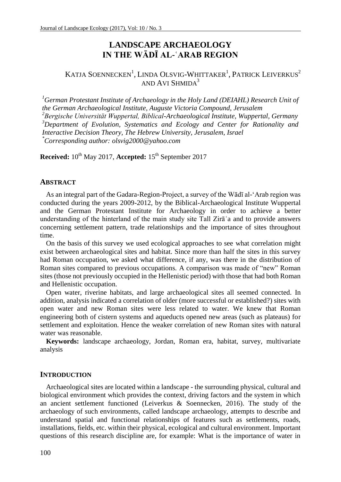# **LANDSCAPE ARCHAEOLOGY IN THE WĀDĪ AL-ʿARAB REGION**

# KATJA SOENNECKEN $^{\rm l}$ , LINDA OLSVIG-WHITTAKER $^{\rm l}$ , PATRICK LEIVERKUS $^{\rm 2}$ AND AVI SHMIDA<sup>3</sup>

*<sup>1</sup>German Protestant Institute of Archaeology in the Holy Land (DEIAHL) Research Unit of the German Archaeological Institute, Auguste Victoria Compound, Jerusalem <sup>2</sup>Bergische Universität Wuppertal, Biblical-Archaeological Institute, Wuppertal, Germany <sup>3</sup>Department of Evolution, Systematics and Ecology and Center for Rationality and Interactive Decision Theory, The Hebrew University, Jerusalem, Israel \*Corresponding author: olsvig2000@yahoo.com*

**Received:**  $10^{th}$  May 2017, **Accepted:**  $15^{th}$  September 2017

#### **ABSTRACT**

As an integral part of the Gadara-Region-Project, a survey of the Wādī al-'Arab region was conducted during the years 2009-2012, by the Biblical-Archaeological Institute Wuppertal and the German Protestant Institute for Archaeology in order to achieve a better understanding of the hinterland of the main study site Tall Zirā**ʿ**a and to provide answers concerning settlement pattern, trade relationships and the importance of sites throughout time.

On the basis of this survey we used ecological approaches to see what correlation might exist between archaeological sites and habitat. Since more than half the sites in this survey had Roman occupation, we asked what difference, if any, was there in the distribution of Roman sites compared to previous occupations. A comparison was made of "new" Roman sites (those not previously occupied in the Hellenistic period) with those that had both Roman and Hellenistic occupation.

Open water, riverine habitats, and large archaeological sites all seemed connected. In addition, analysis indicated a correlation of older (more successful or established?) sites with open water and new Roman sites were less related to water. We knew that Roman engineering both of cistern systems and aqueducts opened new areas (such as plateaus) for settlement and exploitation. Hence the weaker correlation of new Roman sites with natural water was reasonable.

**Keywords:** landscape archaeology, Jordan, Roman era, habitat, survey, multivariate analysis

### **INTRODUCTION**

Archaeological sites are located within a landscape - the surrounding physical, cultural and biological environment which provides the context, driving factors and the system in which an ancient settlement functioned (Leiverkus & Soennecken, 2016). The study of the archaeology of such environments, called landscape archaeology, attempts to describe and understand spatial and functional relationships of features such as settlements, roads, installations, fields, etc. within their physical, ecological and cultural environment. Important questions of this research discipline are, for example: What is the importance of water in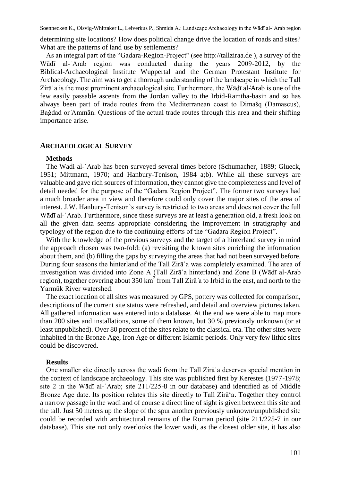Soennecken K., Olsvig-Whittaker L., Leiverkus P., Shmida A.: Landscape Archaeology in the Wādī al-ʿArab region

determining site locations? How does political change drive the location of roads and sites? What are the patterns of land use by settlements?

As an integral part of the "Gadara-Region-Project" (see http://tallziraa.de ), a survey of the Wādī al-ʿArab region was conducted during the years 2009-2012, by the Biblical-Archaeological Institute Wuppertal and the German Protestant Institute for Archaeology. The aim was to get a thorough understanding of the landscape in which the Tall Zirāʿa is the most prominent archaeological site. Furthermore, the Wādī al-ʿArab is one of the few easily passable ascents from the Jordan valley to the Irbid-Ramtha-basin and so has always been part of trade routes from the Mediterranean coast to Dimašq (Damascus), Bagdad or Ammān. Questions of the actual trade routes through this area and their shifting importance arise.

#### **ARCHAEOLOGICAL SURVEY**

#### **Methods**

The Wadi al-ʿArab has been surveyed several times before (Schumacher, 1889; Glueck, 1951; Mittmann, 1970; and Hanbury-Tenison, 1984 a;b). While all these surveys are valuable and gave rich sources of information, they cannot give the completeness and level of detail needed for the purpose of the "Gadara Region Project". The former two surveys had a much broader area in view and therefore could only cover the major sites of the area of interest. J.W. Hanbury-Tenison's survey is restricted to two areas and does not cover the full Wādī al-ʿArab. Furthermore, since these surveys are at least a generation old, a fresh look on all the given data seems appropriate considering the improvement in stratigraphy and typology of the region due to the continuing efforts of the "Gadara Region Project".

With the knowledge of the previous surveys and the target of a hinterland survey in mind the approach chosen was two-fold: (a) revisiting the known sites enriching the information about them, and (b) filling the gaps by surveying the areas that had not been surveyed before. During four seasons the hinterland of the Tall Zira<sup>s</sup> a was completely examined. The area of investigation was divided into Zone A (Tall Zirāʿa hinterland) and Zone B (Wādī al-Arab region), together covering about 350 km<sup>2</sup> from Tall Zirā a to Irbid in the east, and north to the Yarmūk River watershed.

The exact location of all sites was measured by GPS, pottery was collected for comparison, descriptions of the current site status were refreshed, and detail and overview pictures taken. All gathered information was entered into a database. At the end we were able to map more than 200 sites and installations, some of them known, but 30 % previously unknown (or at least unpublished). Over 80 percent of the sites relate to the classical era. The other sites were inhabited in the Bronze Age, Iron Age or different Islamic periods. Only very few lithic sites could be discovered.

#### **Results**

One smaller site directly across the wadi from the Tall Zirāʿa deserves special mention in the context of landscape archaeology. This site was published first by Kerestes (1977-1978; site 2 in the Wādī al-ʿArab; site 211/225-8 in our database) and identified as of Middle Bronze Age date. Its position relates this site directly to Tall Zira<sup>'</sup>a. Together they control a narrow passage in the wadi and of course a direct line of sight is given between this site and the tall. Just 50 meters up the slope of the spur another previously unknown/unpublished site could be recorded with architectural remains of the Roman period (site 211/225-7 in our database). This site not only overlooks the lower wadi, as the closest older site, it has also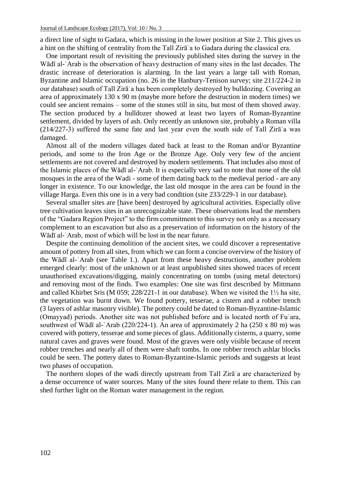a direct line of sight to Gadara, which is missing in the lower position at Site 2. This gives us a hint on the shifting of centrality from the Tall Zirāʿa to Gadara during the classical era.

One important result of revisiting the previously published sites during the survey in the Wādī al-`Arab is the observation of heavy destruction of many sites in the last decades. The drastic increase of deterioration is alarming. In the last years a large tall with Roman, Byzantine and Islamic occupation (no. 26 in the Hanbury-Tenison survey; site 211/224-2 in our database) south of Tall Zirāʿa has been completely destroyed by bulldozing. Covering an area of approximately  $130 \times 90$  m (maybe more before the destruction in modern times) we could see ancient remains – some of the stones still in situ, but most of them shoved away. The section produced by a bulldozer showed at least two layers of Roman-Byzantine settlement, divided by layers of ash. Only recently an unknown site, probably a Roman villa  $(214/227-3)$  suffered the same fate and last year even the south side of Tall Zir $\bar{a}$  a was damaged.

Almost all of the modern villages dated back at least to the Roman and/or Byzantine periods, and some to the Iron Age or the Bronze Age. Only very few of the ancient settlements are not covered and destroyed by modern settlements. That includes also most of the slamic places of the Wādī al-ʿArab. t is especially very sad to note that none of the old mosques in the area of the Wadi - some of them dating back to the medieval period - are any longer in existence. To our knowledge, the last old mosque in the area can be found in the village Harga. Even this one is in a very bad condition (site 233/229-1 in our database).

Several smaller sites are [have been] destroyed by agricultural activities. Especially olive tree cultivation leaves sites in an unrecognizable state. These observations lead the members of the "Gadara Region Project" to the firm commitment to this survey not only as a necessary complement to an excavation but also as a preservation of information on the history of the Wādī al-ʿArab, most of which will be lost in the near future.

Despite the continuing demolition of the ancient sites, we could discover a representative amount of pottery from all sites, from which we can form a concise overview of the history of the Wādī al-ʿArab (see Table 1.). Apart from these heavy destructions, another problem emerged clearly: most of the unknown or at least unpublished sites showed traces of recent unauthorised excavations/digging, mainly concentrating on tombs (using metal detectors) and removing most of the finds. Two examples: One site was first described by Mittmann and called Khirbet Sris (M 059;  $228/221-1$  in our database). When we visited the  $1\frac{1}{2}$  ha site, the vegetation was burnt down. We found pottery, tesserae, a cistern and a robber trench (3 layers of ashlar masonry visible). The pottery could be dated to Roman-Byzantine-Islamic (Omayyad) periods. Another site was not published before and is located north of Fu'ara, southwest of Wādī al-`Arab (220/224-1). An area of approximately 2 ha (250 x 80 m) was covered with pottery, tesserae and some pieces of glass. Additionally cisterns, a quarry, some natural caves and graves were found. Most of the graves were only visible because of recent robber trenches and nearly all of them were shaft tombs. In one robber trench ashlar blocks could be seen. The pottery dates to Roman-Byzantine-Islamic periods and suggests at least two phases of occupation.

The northern slopes of the wadi directly upstream from Tall Zirāʿa are characterized by a dense occurrence of water sources. Many of the sites found there relate to them. This can shed further light on the Roman water management in the region.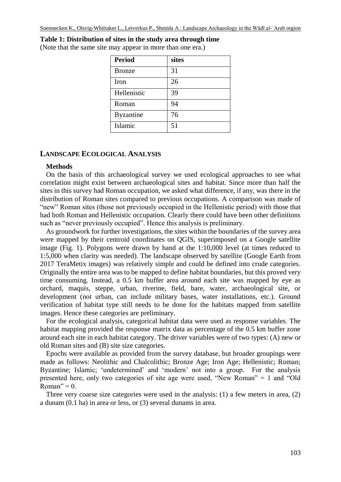# **Table 1: Distribution of sites in the study area through time**

(Note that the same site may appear in more than one era.)

| Period           | sites |
|------------------|-------|
| <b>Bronze</b>    | 31    |
| Iron             | 26    |
| Hellenistic      | 39    |
| Roman            | 94    |
| <b>Byzantine</b> | 76    |
| Islamic          | 51    |

#### **LANDSCAPE ECOLOGICAL ANALYSIS**

#### **Methods**

On the basis of this archaeological survey we used ecological approaches to see what correlation might exist between archaeological sites and habitat. Since more than half the sites in this survey had Roman occupation, we asked what difference, if any, was there in the distribution of Roman sites compared to previous occupations. A comparison was made of "new" Roman sites (those not previously occupied in the Hellenistic period) with those that had both Roman and Hellenistic occupation. Clearly there could have been other definitions such as "never previously occupied". Hence this analysis is preliminary.

As groundwork for further investigations, the sites within the boundaries of the survey area were mapped by their centroid coordinates on QGIS, superimposed on a Google satellite image (Fig. 1). Polygons were drawn by hand at the 1:10,000 level (at times reduced to 1:5,000 when clarity was needed). The landscape observed by satellite (Google Earth from 2017 TeraMetix images) was relatively simple and could be defined into crude categories. Originally the entire area was to be mapped to define habitat boundaries, but this proved very time consuming. Instead, a 0.5 km buffer area around each site was mapped by eye as orchard, maquis, steppe, urban, riverine, field, bare, water, archaeological site, or development (not urban, can include military bases, water installations, etc.). Ground verification of habitat type still needs to be done for the habitats mapped from satellite images. Hence these categories are preliminary.

For the ecological analysis, categorical habitat data were used as response variables. The habitat mapping provided the response matrix data as percentage of the 0.5 km buffer zone around each site in each habitat category. The driver variables were of two types: (A) new or old Roman sites and (B) site size categories.

Epochs were available as provided from the survey database, but broader groupings were made as follows: Neolithic and Chalcolithic; Bronze Age; Iron Age; Hellenistic; Roman; Byzantine; Islamic; 'undetermined' and 'modern' not into a group. For the analysis presented here, only two categories of site age were used, "New Roman" = 1 and "Old Roman" =  $0$ .

Three very coarse size categories were used in the analysis: (1) a few meters in area, (2) a dunam (0.1 ha) in area or less, or (3) several dunams in area.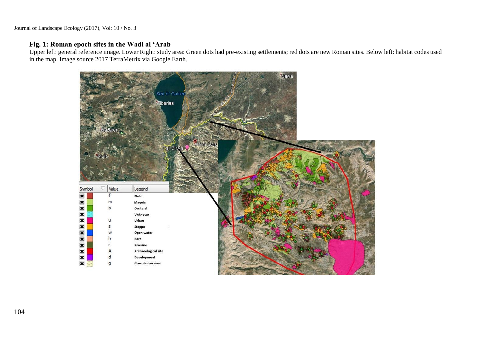# **Fig. 1: Roman epoch sites in the Wadi al 'Arab**

 Upper left: general reference image. Lower Right: study area: Green dots had pre-existing settlements; red dots are new Roman sites. Below left: habitat codes used in the map. Image source 2017 TerraMetrix via Google Earth.

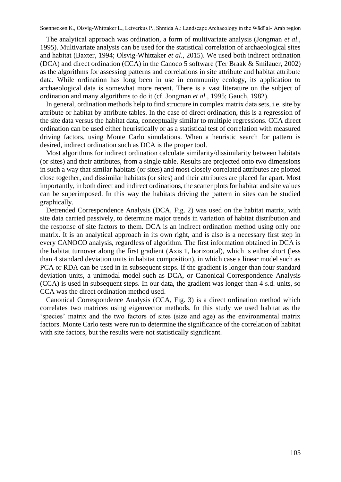The analytical approach was ordination, a form of multivariate analysis (Jongman *et al*., 1995). Multivariate analysis can be used for the statistical correlation of archaeological sites and habitat (Baxter, 1994; Olsvig-Whittaker *et al*., 2015). We used both indirect ordination (DCA) and direct ordination (CCA) in the Canoco 5 software (Ter Braak & Smilauer, 2002) as the algorithms for assessing patterns and correlations in site attribute and habitat attribute data. While ordination has long been in use in community ecology, its application to archaeological data is somewhat more recent. There is a vast literature on the subject of ordination and many algorithms to do it (cf. Jongman *et al*., 1995; Gauch, 1982).

In general, ordination methods help to find structure in complex matrix data sets, i.e. site by attribute or habitat by attribute tables. In the case of direct ordination, this is a regression of the site data versus the habitat data, conceptually similar to multiple regressions. CCA direct ordination can be used either heuristically or as a statistical test of correlation with measured driving factors, using Monte Carlo simulations. When a heuristic search for pattern is desired, indirect ordination such as DCA is the proper tool.

Most algorithms for indirect ordination calculate similarity/dissimilarity between habitats (or sites) and their attributes, from a single table. Results are projected onto two dimensions in such a way that similar habitats (or sites) and most closely correlated attributes are plotted close together, and dissimilar habitats (or sites) and their attributes are placed far apart. Most importantly, in both direct and indirect ordinations, the scatter plots for habitat and site values can be superimposed. In this way the habitats driving the pattern in sites can be studied graphically.

Detrended Correspondence Analysis (DCA, Fig. 2) was used on the habitat matrix, with site data carried passively, to determine major trends in variation of habitat distribution and the response of site factors to them. DCA is an indirect ordination method using only one matrix. It is an analytical approach in its own right, and is also is a necessary first step in every CANOCO analysis, regardless of algorithm. The first information obtained in DCA is the habitat turnover along the first gradient (Axis 1, horizontal), which is either short (less than 4 standard deviation units in habitat composition), in which case a linear model such as PCA or RDA can be used in in subsequent steps. If the gradient is longer than four standard deviation units, a unimodal model such as DCA, or Canonical Correspondence Analysis (CCA) is used in subsequent steps. In our data, the gradient was longer than 4 s.d. units, so CCA was the direct ordination method used.

Canonical Correspondence Analysis (CCA, Fig. 3) is a direct ordination method which correlates two matrices using eigenvector methods. In this study we used habitat as the 'species' matrix and the two factors of sites (size and age) as the environmental matrix factors. Monte Carlo tests were run to determine the significance of the correlation of habitat with site factors, but the results were not statistically significant.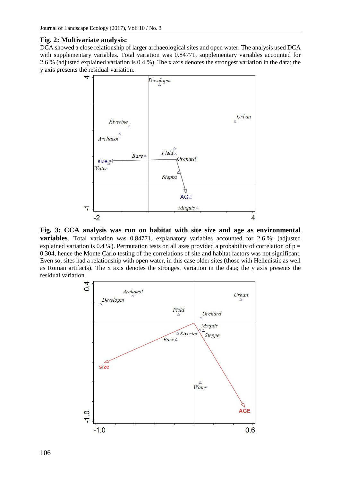#### **Fig. 2: Multivariate analysis:**

DCA showed a close relationship of larger archaeological sites and open water. The analysis used DCA with supplementary variables. Total variation was 0.84771, supplementary variables accounted for 2.6 % (adjusted explained variation is 0.4 %). The x axis denotes the strongest variation in the data; the y axis presents the residual variation.



**Fig. 3: CCA analysis was run on habitat with site size and age as environmental variables**. Total variation was 0.84771, explanatory variables accounted for 2.6 %; (adjusted explained variation is 0.4 %). Permutation tests on all axes provided a probability of correlation of  $p =$ 0.304, hence the Monte Carlo testing of the correlations of site and habitat factors was not significant. Even so, sites had a relationship with open water, in this case older sites (those with Hellenistic as well as Roman artifacts). The x axis denotes the strongest variation in the data; the y axis presents the residual variation.

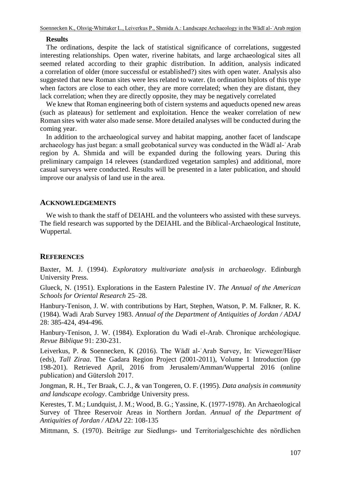#### **Results**

The ordinations, despite the lack of statistical significance of correlations, suggested interesting relationships. Open water, riverine habitats, and large archaeological sites all seemed related according to their graphic distribution. In addition, analysis indicated a correlation of older (more successful or established?) sites with open water. Analysis also suggested that new Roman sites were less related to water. (In ordination biplots of this type when factors are close to each other, they are more correlated; when they are distant, they lack correlation; when they are directly opposite, they may be negatively correlated

We knew that Roman engineering both of cistern systems and aqueducts opened new areas (such as plateaus) for settlement and exploitation. Hence the weaker correlation of new Roman sites with water also made sense. More detailed analyses will be conducted during the coming year.

In addition to the archaeological survey and habitat mapping, another facet of landscape archaeology has just began: a small geobotanical survey was conducted in the Wādī al-ʿArab region by A. Shmida and will be expanded during the following years. During this preliminary campaign 14 relevees (standardized vegetation samples) and additional, more casual surveys were conducted. Results will be presented in a later publication, and should improve our analysis of land use in the area.

# **ACKNOWLEDGEMENTS**

We wish to thank the staff of DEIAHL and the volunteers who assisted with these surveys. The field research was supported by the DEIAHL and the Biblical-Archaeological Institute, Wuppertal.

# **REFERENCES**

Baxter, M. J. (1994). *Exploratory multivariate analysis in archaeology*. Edinburgh University Press.

Glueck, N. (1951). Explorations in the Eastern Palestine IV. *The Annual of the American Schools for Oriental Research* 25–28*.*

Hanbury-Tenison, J. W. with contributions by Hart, Stephen, Watson, P. M. Falkner, R. K. (1984). Wadi Arab Survey 1983. *Annual of the Department of Antiquities of Jordan / ADAJ* 28: 385-424, 494-496.

Hanbury-Tenison, J. W. (1984). Exploration du Wadi el-Arab. Chronique archéologique. *Revue Biblique* 91: 230-231.

Leiverkus, P. & Soennecken, K (2016). The Wādī al-ʿArab Survey, n: Vieweger/Häser (eds), *Tall Ziraa*. The Gadara Region Project (2001-2011), Volume 1 Introduction (pp 198-201). Retrieved April, 2016 from Jerusalem/Amman/Wuppertal 2016 (online publication) and Gütersloh 2017.

Jongman, R. H., Ter Braak, C. J., & van Tongeren, O. F. (1995). *Data analysis in community and landscape ecology*. Cambridge University press.

Kerestes, T. M.; Lundquist, J. M.; Wood, B. G.; Yassine, K. (1977-1978). An Archaeological Survey of Three Reservoir Areas in Northern Jordan. *Annual of the Department of Antiquities of Jordan / ADAJ* 22: 108-135

Mittmann, S. (1970). Beiträge zur Siedlungs- und Territorialgeschichte des nördlichen